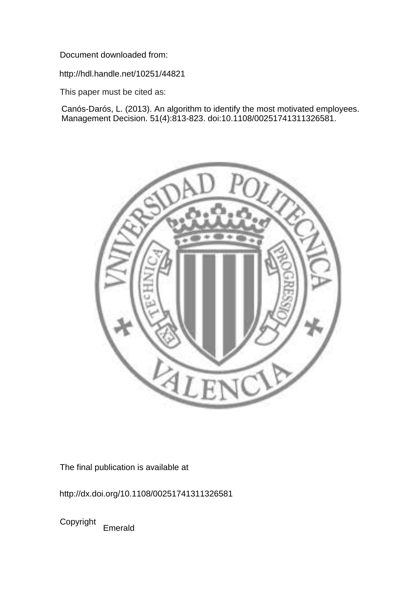Document downloaded from:

http://hdl.handle.net/10251/44821

This paper must be cited as:

Canós-Darós, L. (2013). An algorithm to identify the most motivated employees. Management Decision. 51(4):813-823. doi:10.1108/00251741311326581.



The final publication is available at

http://dx.doi.org/10.1108/00251741311326581

Copyright Emerald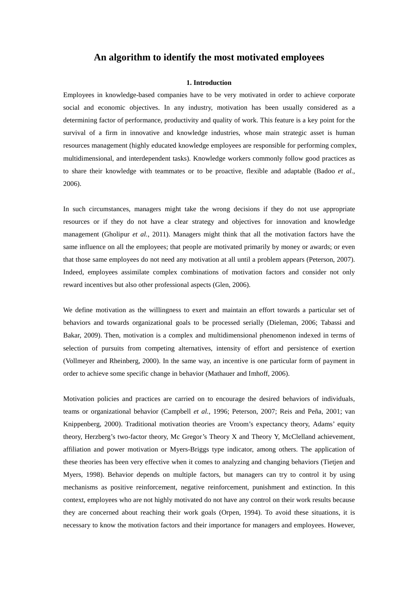# **An algorithm to identify the most motivated employees**

### **1. Introduction**

Employees in knowledge-based companies have to be very motivated in order to achieve corporate social and economic objectives. In any industry, motivation has been usually considered as a determining factor of performance, productivity and quality of work. This feature is a key point for the survival of a firm in innovative and knowledge industries, whose main strategic asset is human resources management (highly educated knowledge employees are responsible for performing complex, multidimensional, and interdependent tasks). Knowledge workers commonly follow good practices as to share their knowledge with teammates or to be proactive, flexible and adaptable (Badoo *et al.*, 2006).

In such circumstances, managers might take the wrong decisions if they do not use appropriate resources or if they do not have a clear strategy and objectives for innovation and knowledge management (Gholipur *et al.*, 2011). Managers might think that all the motivation factors have the same influence on all the employees; that people are motivated primarily by money or awards; or even that those same employees do not need any motivation at all until a problem appears (Peterson, 2007). Indeed, employees assimilate complex combinations of motivation factors and consider not only reward incentives but also other professional aspects (Glen, 2006).

We define motivation as the willingness to exert and maintain an effort towards a particular set of behaviors and towards organizational goals to be processed serially (Dieleman, 2006; Tabassi and Bakar, 2009). Then, motivation is a complex and multidimensional phenomenon indexed in terms of selection of pursuits from competing alternatives, intensity of effort and persistence of exertion (Vollmeyer and Rheinberg, 2000). In the same way, an incentive is one particular form of payment in order to achieve some specific change in behavior (Mathauer and Imhoff, 2006).

Motivation policies and practices are carried on to encourage the desired behaviors of individuals, teams or organizational behavior (Campbell *et al.*, 1996; Peterson, 2007; Reis and Peña, 2001; van Knippenberg, 2000). Traditional motivation theories are Vroom's expectancy theory, Adams' equity theory, Herzberg's two-factor theory, Mc Gregor's Theory X and Theory Y, McClelland achievement, affiliation and power motivation or Myers-Briggs type indicator, among others. The application of these theories has been very effective when it comes to analyzing and changing behaviors (Tietjen and Myers, 1998). Behavior depends on multiple factors, but managers can try to control it by using mechanisms as positive reinforcement, negative reinforcement, punishment and extinction. In this context, employees who are not highly motivated do not have any control on their work results because they are concerned about reaching their work goals (Orpen, 1994). To avoid these situations, it is necessary to know the motivation factors and their importance for managers and employees. However,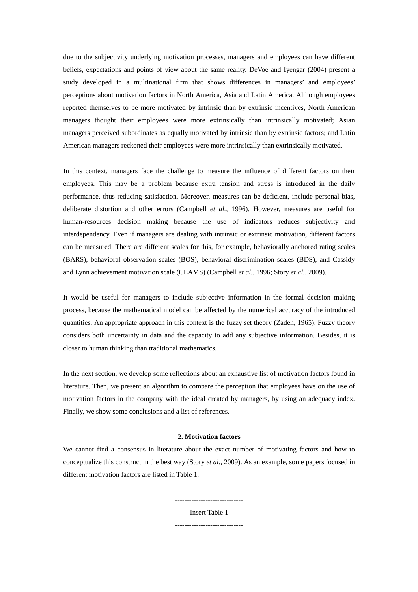due to the subjectivity underlying motivation processes, managers and employees can have different beliefs, expectations and points of view about the same reality. DeVoe and Iyengar (2004) present a study developed in a multinational firm that shows differences in managers' and employees' perceptions about motivation factors in North America, Asia and Latin America. Although employees reported themselves to be more motivated by intrinsic than by extrinsic incentives, North American managers thought their employees were more extrinsically than intrinsically motivated; Asian managers perceived subordinates as equally motivated by intrinsic than by extrinsic factors; and Latin American managers reckoned their employees were more intrinsically than extrinsically motivated.

In this context, managers face the challenge to measure the influence of different factors on their employees. This may be a problem because extra tension and stress is introduced in the daily performance, thus reducing satisfaction. Moreover, measures can be deficient, include personal bias, deliberate distortion and other errors (Campbell *et al.*, 1996). However, measures are useful for human-resources decision making because the use of indicators reduces subjectivity and interdependency. Even if managers are dealing with intrinsic or extrinsic motivation, different factors can be measured. There are different scales for this, for example, behaviorally anchored rating scales (BARS), behavioral observation scales (BOS), behavioral discrimination scales (BDS), and Cassidy and Lynn achievement motivation scale (CLAMS) (Campbell *et al.*, 1996; Story *et al.*, 2009).

It would be useful for managers to include subjective information in the formal decision making process, because the mathematical model can be affected by the numerical accuracy of the introduced quantities. An appropriate approach in this context is the fuzzy set theory (Zadeh, 1965). Fuzzy theory considers both uncertainty in data and the capacity to add any subjective information. Besides, it is closer to human thinking than traditional mathematics.

In the next section, we develop some reflections about an exhaustive list of motivation factors found in literature. Then, we present an algorithm to compare the perception that employees have on the use of motivation factors in the company with the ideal created by managers, by using an adequacy index. Finally, we show some conclusions and a list of references.

# **2. Motivation factors**

We cannot find a consensus in literature about the exact number of motivating factors and how to conceptualize this construct in the best way (Story *et al.*, 2009). As an example, some papers focused in different motivation factors are listed in Table 1.

 $-$ 

Insert Table 1

-----------------------------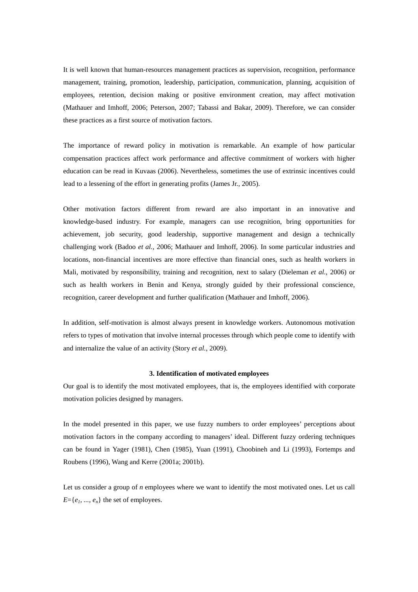It is well known that human-resources management practices as supervision, recognition, performance management, training, promotion, leadership, participation, communication, planning, acquisition of employees, retention, decision making or positive environment creation, may affect motivation (Mathauer and Imhoff, 2006; Peterson, 2007; Tabassi and Bakar, 2009). Therefore, we can consider these practices as a first source of motivation factors.

The importance of reward policy in motivation is remarkable. An example of how particular compensation practices affect work performance and affective commitment of workers with higher education can be read in Kuvaas (2006). Nevertheless, sometimes the use of extrinsic incentives could lead to a lessening of the effort in generating profits (James Jr., 2005).

Other motivation factors different from reward are also important in an innovative and knowledge-based industry. For example, managers can use recognition, bring opportunities for achievement, job security, good leadership, supportive management and design a technically challenging work (Badoo *et al.*, 2006; Mathauer and Imhoff, 2006). In some particular industries and locations, non-financial incentives are more effective than financial ones, such as health workers in Mali, motivated by responsibility, training and recognition, next to salary (Dieleman *et al.*, 2006) or such as health workers in Benin and Kenya, strongly guided by their professional conscience, recognition, career development and further qualification (Mathauer and Imhoff, 2006).

In addition, self-motivation is almost always present in knowledge workers. Autonomous motivation refers to types of motivation that involve internal processes through which people come to identify with and internalize the value of an activity (Story *et al.*, 2009).

# **3. Identification of motivated employees**

Our goal is to identify the most motivated employees, that is, the employees identified with corporate motivation policies designed by managers.

In the model presented in this paper, we use fuzzy numbers to order employees' perceptions about motivation factors in the company according to managers' ideal. Different fuzzy ordering techniques can be found in Yager (1981), Chen (1985), Yuan (1991), Choobineh and Li (1993), Fortemps and Roubens (1996), Wang and Kerre (2001a; 2001b).

Let us consider a group of *n* employees where we want to identify the most motivated ones. Let us call  $E = \{e_1, \ldots, e_n\}$  the set of employees.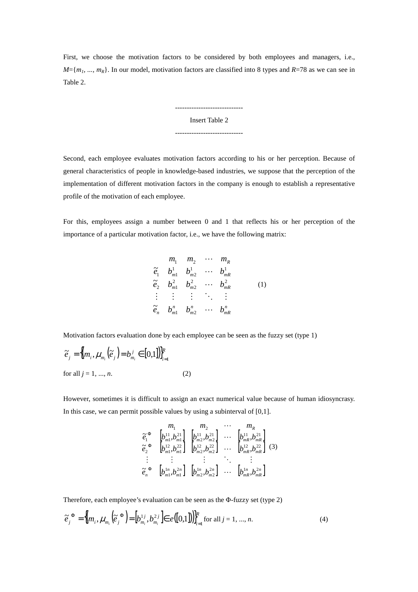First, we choose the motivation factors to be considered by both employees and managers, i.e.,  $M = \{m_1, ..., m_R\}$ . In our model, motivation factors are classified into 8 types and  $R = 78$  as we can see in Table 2.

> ----------------------------- Insert Table 2 -----------------------------

Second, each employee evaluates motivation factors according to his or her perception. Because of general characteristics of people in knowledge-based industries, we suppose that the perception of the implementation of different motivation factors in the company is enough to establish a representative profile of the motivation of each employee.

For this, employees assign a number between 0 and 1 that reflects his or her perception of the importance of a particular motivation factor, i.e., we have the following matrix:

$$
m_1 \quad m_2 \quad \cdots \quad m_R
$$
\n
$$
\begin{array}{ccccccccc}\n\widetilde{e}_1 & b_{m1}^1 & b_{m2}^1 & \cdots & b_{mR}^1 \\
\widetilde{e}_2 & b_{m1}^2 & b_{m2}^2 & \cdots & b_{mR}^2 & & & & \\
\vdots & \vdots & \vdots & \ddots & \vdots & & \\
\widetilde{e}_n & b_{m1}^n & b_{m2}^n & \cdots & b_{mR}^n & & & \\
\end{array}
$$
\n(1)

Motivation factors evaluation done by each employee can be seen as the fuzzy set (type 1)

$$
\widetilde{e}_j = \left\{ \left( m_i, \mu_{m_i} \left( \widetilde{e}_j \right) = b_{m_i}^j \in [0,1] \right) \right\}_{i=1}^R
$$
\n
$$
\text{for all } j = 1, \dots, n. \tag{2}
$$

However, sometimes it is difficult to assign an exact numerical value because of human idiosyncrasy. In this case, we can permit possible values by using a subinterval of [0,1].

$$
\begin{array}{cccc}\nm_1 & m_2 & \cdots & m_R \\
\tilde{e}_1^{\Phi} & \begin{bmatrix} b_{m1}^{11}, b_{m1}^{21} \end{bmatrix} & \begin{bmatrix} b_{m2}^{11}, b_{m2}^{21} \end{bmatrix} & \cdots & \begin{bmatrix} b_{mR}^{11}, b_{mR}^{21} \end{bmatrix} \\
\tilde{e}_2^{\Phi} & \begin{bmatrix} b_{m1}^{12}, b_{m2}^{22} \end{bmatrix} & \begin{bmatrix} b_{m2}^{12}, b_{m2}^{22} \end{bmatrix} & \cdots & \begin{bmatrix} b_{mR}^{12}, b_{mR}^{22} \end{bmatrix}\n\end{array} (3)
$$
\n
$$
\vdots & \vdots & \ddots & \vdots \\
\tilde{e}_n^{\Phi} & \begin{bmatrix} b_{m1}^{1n}, b_{m1}^{2n} \end{bmatrix} & \begin{bmatrix} b_{m2}^{1n}, b_{m2}^{2n} \end{bmatrix} & \cdots & \begin{bmatrix} b_{mR}^{1n}, b_{mR}^{2n} \end{bmatrix}\n\end{array}
$$

Therefore, each employee's evaluation can be seen as the Φ-fuzzy set (type 2)

$$
\widetilde{e}_j^{\Phi} = \left\{ (m_i, \mu_{m_i} \left( \widetilde{e}_j^{\Phi} \right) = \left[ b_{m_i}^{1j}, b_{m_i}^{2j} \right] \in e([0,1]) \right\}_{i=1}^R \text{ for all } j = 1, ..., n. \tag{4}
$$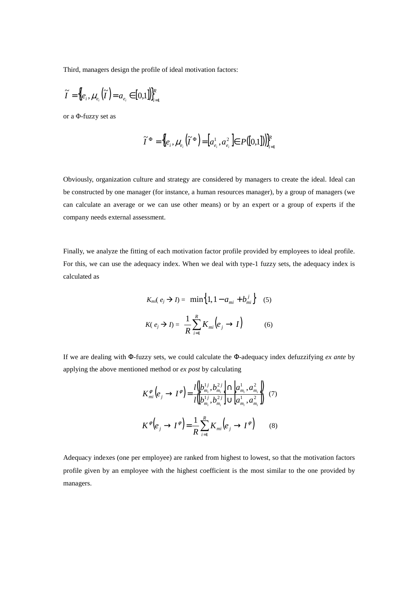Third, managers design the profile of ideal motivation factors:

$$
\widetilde{I} = \big\{ \big(e_i, \mu_{e_i}(\widetilde{I})\big) = a_{e_i} \in [0,1] \big) \big\}_{i=1}^R
$$

or a Φ-fuzzy set as

$$
\widetilde{I}^{\Phi} = \left\{ \left( e_i, \mu_{e_i} \left( \widetilde{I}^{\Phi} \right) = \left[ a_{e_i}^1, a_{e_i}^2 \right] \in P\big( [0,1] \big) \right) \right\}_{i=1}^R
$$

Obviously, organization culture and strategy are considered by managers to create the ideal. Ideal can be constructed by one manager (for instance, a human resources manager), by a group of managers (we can calculate an average or we can use other means) or by an expert or a group of experts if the company needs external assessment.

Finally, we analyze the fitting of each motivation factor profile provided by employees to ideal profile. For this, we can use the adequacy index. When we deal with type-1 fuzzy sets, the adequacy index is calculated as

$$
K_{mi}(e_j \rightarrow I) = \min\left\{1, 1 - a_{mi} + b_{mi}^j\right\} \quad (5)
$$

$$
K(e_j \rightarrow I) = \frac{1}{R} \sum_{i=1}^R K_{mi}\left(e_j \rightarrow I\right) \quad (6)
$$

If we are dealing with Φ-fuzzy sets, we could calculate the Φ-adequacy index defuzzifying *ex ante* by applying the above mentioned method or *ex post* by calculating

$$
K_{mi}^{\phi}(e_j \to I^{\phi}) = \frac{l([b_{m_i}^{1j}, b_{m_i}^{2j}]\cap [a_{m_i}^1, a_{m_i}^2])}{l([b_{m_i}^{1j}, b_{m_i}^{2j}]\cup [a_{m_i}^1, a_{m_i}^2])}
$$
(7)  

$$
K^{\phi}(e_j \to I^{\phi}) = \frac{1}{R} \sum_{i=1}^{R} K_{mi}(e_j \to I^{\phi})
$$
(8)

Adequacy indexes (one per employee) are ranked from highest to lowest, so that the motivation factors profile given by an employee with the highest coefficient is the most similar to the one provided by managers.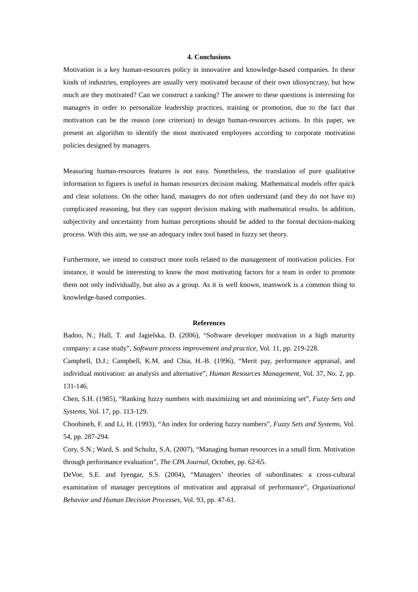## **4. Conclusions**

Motivation is a key human-resources policy in innovative and knowledge-based companies. In these kinds of industries, employees are usually very motivated because of their own idiosyncrasy, but how much are they motivated? Can we construct a ranking? The answer to these questions is interesting for managers in order to personalize leadership practices, training or promotion, due to the fact that motivation can be the reason (one criterion) to design human-resources actions. In this paper, we present an algorithm to identify the most motivated employees according to corporate motivation policies designed by managers.

Measuring human-resources features is not easy. Nonetheless, the translation of pure qualitative information to figures is useful in human resources decision making. Mathematical models offer quick and clear solutions. On the other hand, managers do not often understand (and they do not have to) complicated reasoning, but they can support decision making with mathematical results. In addition, subjectivity and uncertainty from human perceptions should be added to the formal decision-making process. With this aim, we use an adequacy index tool based in fuzzy set theory.

Furthermore, we intend to construct more tools related to the management of motivation policies. For instance, it would be interesting to know the most motivating factors for a team in order to promote them not only individually, but also as a group. As it is well known, teamwork is a common thing to knowledge-based companies.

#### **References**

Badoo, N.; Hall, T. and Jagielska, D. (2006), "Software developer motivation in a high maturity company: a case study", *Software process improvement and practice*, Vol. 11, pp. 219-228.

Campbell, D.J.; Campbell, K.M. and Chia, H.-B. (1996), "Merit pay, performance appraisal, and individual motivation: an analysis and alternative", *Human Resources Management*, Vol. 37, No. 2, pp. 131-146.

Chen, S.H. (1985), "Ranking fuzzy numbers with maximizing set and minimizing set", *Fuzzy Sets and Systems*, Vol. 17, pp. 113-129.

Choobineh, F. and Li, H. (1993), "An index for ordering fuzzy numbers", *Fuzzy Sets and Systems*, Vol. 54, pp. 287-294.

Cory, S.N.; Ward, S. and Schultz, S.A. (2007), "Managing human resources in a small firm. Motivation through performance evaluation", *The CPA Journal*, October, pp. 62-65.

DeVoe, S.E. and Iyengar, S.S. (2004), "Managers' theories of subordinates: a cross-cultural examination of manager perceptions of motivation and appraisal of performance", *Organizational Behavior and Human Decision Processes*, Vol. 93, pp. 47-61.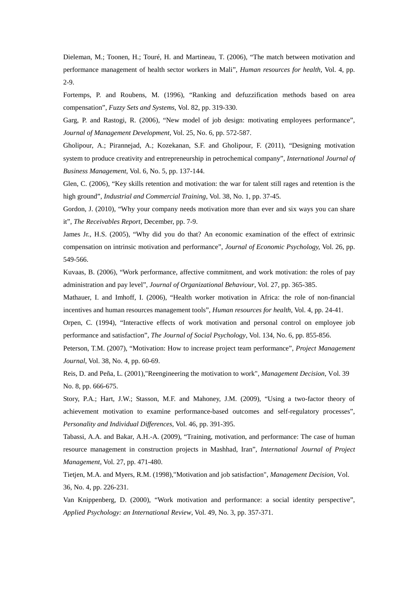Dieleman, M.; Toonen, H.; Touré, H. and Martineau, T. (2006), "The match between motivation and performance management of health sector workers in Mali", *Human resources for health*, Vol. 4, pp. 2-9.

Fortemps, P. and Roubens, M. (1996), "Ranking and defuzzification methods based on area compensation", *Fuzzy Sets and Systems*, Vol. 82, pp. 319-330.

Garg, P. and Rastogi, R. (2006), "New model of job design: motivating employees performance", *Journal of Management Development*, Vol. 25, No. 6, pp. 572-587.

Gholipour, A.; Pirannejad, A.; Kozekanan, S.F. and Gholipour, F. (2011), "Designing motivation system to produce creativity and entrepreneurship in petrochemical company", *International Journal of Business Management*, Vol. 6, No. 5, pp. 137-144.

Glen, C. (2006), "Key skills retention and motivation: the war for talent still rages and retention is the high ground", *Industrial and Commercial Training*, Vol. 38, No. 1, pp. 37-45.

Gordon, J. (2010), "Why your company needs motivation more than ever and six ways you can share it", *The Receivables Report*, December, pp. 7-9.

James Jr., H.S. (2005), "Why did you do that? An economic examination of the effect of extrinsic compensation on intrinsic motivation and performance", *Journal of Economic Psychology,* Vol. 26, pp. 549-566.

Kuvaas, B. (2006), "Work performance, affective commitment, and work motivation: the roles of pay administration and pay level", *Journal of Organizational Behaviour*, Vol. 27, pp. 365-385.

Mathauer, I. and Imhoff, I. (2006), "Health worker motivation in Africa: the role of non-financial incentives and human resources management tools", *Human resources for health*, Vol. 4, pp. 24-41.

Orpen, C. (1994), "Interactive effects of work motivation and personal control on employee job performance and satisfaction", *The Journal of Social Psychology*, Vol. 134, No. 6, pp. 855-856.

Peterson, T.M. (2007), "Motivation: How to increase project team performance", *Project Management Journal*, Vol. 38, No. 4, pp. 60-69.

Reis, D. and Peña, L. (2001),"Reengineering the motivation to work", *Management Decision*, Vol. 39 No. 8, pp. 666-675.

Story, P.A.; Hart, J.W.; Stasson, M.F. and Mahoney, J.M. (2009), "Using a two-factor theory of achievement motivation to examine performance-based outcomes and self-regulatory processes", *Personality and Individual Differences*, Vol. 46, pp. 391-395.

Tabassi, A.A. and Bakar, A.H.-A. (2009), "Training, motivation, and performance: The case of human resource management in construction projects in Mashhad, Iran", *International Journal of Project Management*, Vol. 27, pp. 471-480.

Tietjen, M.A. and Myers, R.M. (1998),"Motivation and job satisfaction", *Management Decision*, Vol. 36, No. 4, pp. 226-231.

Van Knippenberg, D. (2000), "Work motivation and performance: a social identity perspective", *Applied Psychology: an International Review*, Vol. 49, No. 3, pp. 357-371.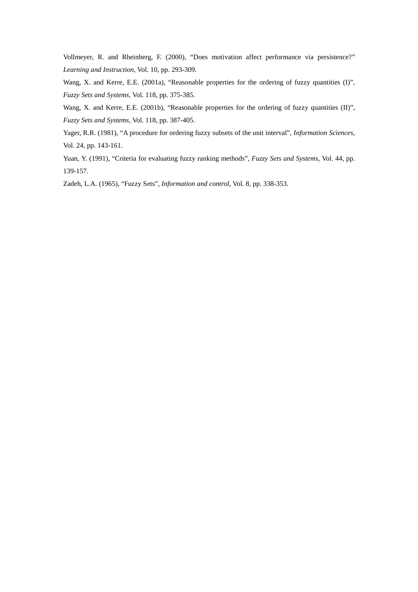Vollmeyer, R. and Rheinberg, F. (2000), "Does motivation affect performance via persistence?" *Learning and Instruction*, Vol. 10, pp. 293-309.

Wang, X. and Kerre, E.E. (2001a), "Reasonable properties for the ordering of fuzzy quantities (I)", *Fuzzy Sets and Systems*, Vol. 118, pp. 375-385.

Wang, X. and Kerre, E.E. (2001b), "Reasonable properties for the ordering of fuzzy quantities (II)", *Fuzzy Sets and Systems*, Vol. 118, pp. 387-405.

Yager, R.R. (1981), "A procedure for ordering fuzzy subsets of the unit interval", *Information Sciences*, Vol. 24, pp. 143-161.

Yuan, Y. (1991), "Criteria for evaluating fuzzy ranking methods", *Fuzzy Sets and Systems*, Vol. 44, pp. 139-157.

Zadeh, L.A. (1965), "Fuzzy Sets", *Information and control*, Vol. 8, pp. 338-353.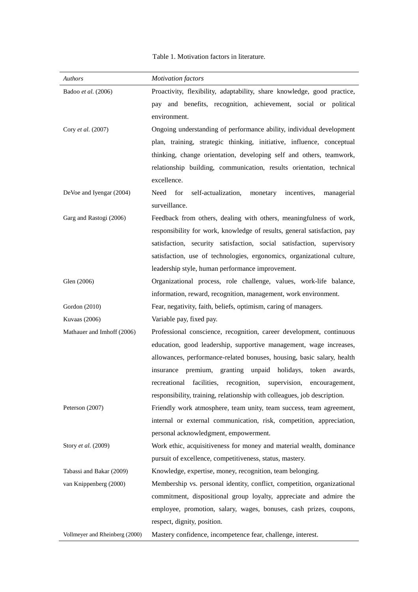| <b>Authors</b>                 | <b>Motivation</b> factors                                                   |
|--------------------------------|-----------------------------------------------------------------------------|
| Badoo et al. (2006)            | Proactivity, flexibility, adaptability, share knowledge, good practice,     |
|                                | pay and benefits, recognition, achievement, social or political             |
|                                | environment.                                                                |
| Cory et al. (2007)             | Ongoing understanding of performance ability, individual development        |
|                                | plan, training, strategic thinking, initiative, influence, conceptual       |
|                                | thinking, change orientation, developing self and others, teamwork,         |
|                                | relationship building, communication, results orientation, technical        |
|                                | excellence.                                                                 |
| DeVoe and Iyengar (2004)       | self-actualization,<br>Need<br>for<br>monetary<br>incentives,<br>managerial |
|                                | surveillance.                                                               |
| Garg and Rastogi (2006)        | Feedback from others, dealing with others, meaningfulness of work,          |
|                                | responsibility for work, knowledge of results, general satisfaction, pay    |
|                                | satisfaction, security satisfaction, social satisfaction, supervisory       |
|                                | satisfaction, use of technologies, ergonomics, organizational culture,      |
|                                | leadership style, human performance improvement.                            |
| Glen (2006)                    | Organizational process, role challenge, values, work-life balance,          |
|                                | information, reward, recognition, management, work environment.             |
| Gordon (2010)                  | Fear, negativity, faith, beliefs, optimism, caring of managers.             |
| Kuvaas (2006)                  | Variable pay, fixed pay.                                                    |
| Mathauer and Imhoff (2006)     | Professional conscience, recognition, career development, continuous        |
|                                | education, good leadership, supportive management, wage increases,          |
|                                | allowances, performance-related bonuses, housing, basic salary, health      |
|                                | insurance premium, granting unpaid holidays, token awards,                  |
|                                | recreational facilities,<br>recognition,<br>supervision,<br>encouragement,  |
|                                | responsibility, training, relationship with colleagues, job description.    |
| Peterson (2007)                | Friendly work atmosphere, team unity, team success, team agreement,         |
|                                | internal or external communication, risk, competition, appreciation,        |
|                                | personal acknowledgment, empowerment.                                       |
| Story et al. (2009)            | Work ethic, acquisitiveness for money and material wealth, dominance        |
|                                | pursuit of excellence, competitiveness, status, mastery.                    |
| Tabassi and Bakar (2009)       | Knowledge, expertise, money, recognition, team belonging.                   |
| van Knippenberg (2000)         | Membership vs. personal identity, conflict, competition, organizational     |
|                                | commitment, dispositional group loyalty, appreciate and admire the          |
|                                | employee, promotion, salary, wages, bonuses, cash prizes, coupons,          |
|                                | respect, dignity, position.                                                 |
| Vollmeyer and Rheinberg (2000) | Mastery confidence, incompetence fear, challenge, interest.                 |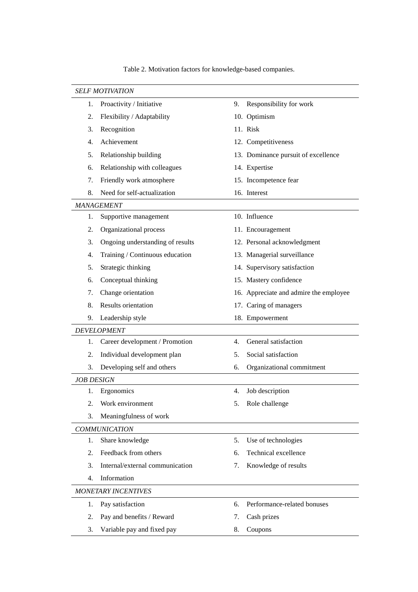|                   | <b>SELF MOTIVATION</b>           |    |                                        |
|-------------------|----------------------------------|----|----------------------------------------|
| 1.                | Proactivity / Initiative         | 9. | Responsibility for work                |
| 2.                | Flexibility / Adaptability       |    | 10. Optimism                           |
| 3.                | Recognition                      |    | 11. Risk                               |
| 4.                | Achievement                      |    | 12. Competitiveness                    |
| 5.                | Relationship building            |    | 13. Dominance pursuit of excellence    |
| 6.                | Relationship with colleagues     |    | 14. Expertise                          |
| 7.                | Friendly work atmosphere         |    | 15. Incompetence fear                  |
| 8.                | Need for self-actualization      |    | 16. Interest                           |
|                   | <b>MANAGEMENT</b>                |    |                                        |
| 1.                | Supportive management            |    | 10. Influence                          |
| 2.                | Organizational process           |    | 11. Encouragement                      |
| 3.                | Ongoing understanding of results |    | 12. Personal acknowledgment            |
| 4.                | Training / Continuous education  |    | 13. Managerial surveillance            |
| 5.                | Strategic thinking               |    | 14. Supervisory satisfaction           |
| 6.                | Conceptual thinking              |    | 15. Mastery confidence                 |
| 7.                | Change orientation               |    | 16. Appreciate and admire the employee |
| 8.                | Results orientation              |    | 17. Caring of managers                 |
| 9.                | Leadership style                 |    | 18. Empowerment                        |
|                   | <b>DEVELOPMENT</b>               |    |                                        |
| 1.                | Career development / Promotion   | 4. | General satisfaction                   |
| 2.                | Individual development plan      | 5. | Social satisfaction                    |
| 3.                | Developing self and others       | 6. | Organizational commitment              |
| <b>JOB DESIGN</b> |                                  |    |                                        |
| 1.                | Ergonomics                       | 4. | Job description                        |
| 2.                | Work environment                 | 5. | Role challenge                         |
| 3.                | Meaningfulness of work           |    |                                        |
|                   | <b>COMMUNICATION</b>             |    |                                        |
| 1.                | Share knowledge                  | 5. | Use of technologies                    |
| 2.                | Feedback from others             | 6. | Technical excellence                   |
| 3.                | Internal/external communication  | 7. | Knowledge of results                   |
| 4.                | Information                      |    |                                        |
|                   | <b>MONETARY INCENTIVES</b>       |    |                                        |
| 1.                | Pay satisfaction                 | 6. | Performance-related bonuses            |
| 2.                | Pay and benefits / Reward        | 7. | Cash prizes                            |
| 3.                | Variable pay and fixed pay       | 8. | Coupons                                |

Table 2. Motivation factors for knowledge-based companies.